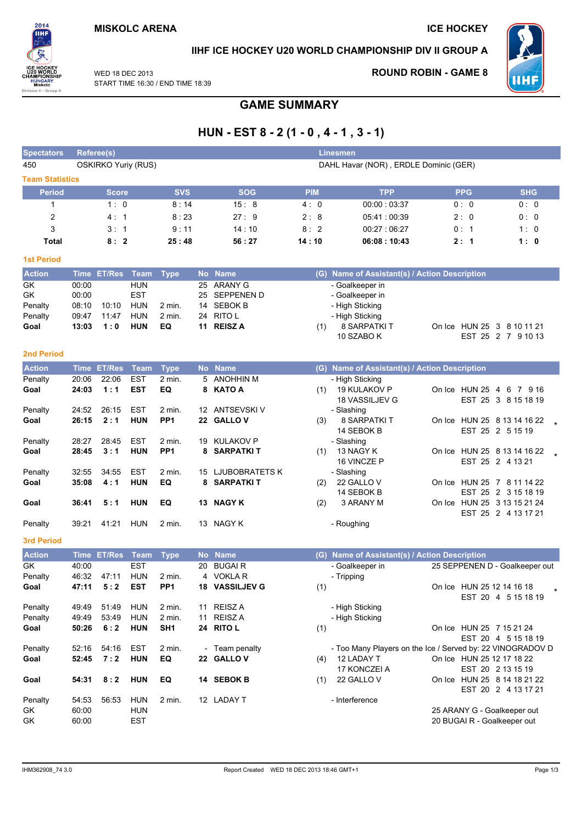

### IIHF ICE HOCKEY U20 WORLD CHAMPIONSHIP DIV II GROUP A

WED 18 DEC 2013 START TIME 16:30 / END TIME 18:39

### **ROUND ROBIN - GAME 8**



# **GAME SUMMARY**

## HUN - EST  $8 - 2(1 - 0, 4 - 1, 3 - 1)$

| <b>Spectators</b>      |                | Referee(s)                 |                          |                           |    |                              |            | Linesmen                                                                 |                             |                                |
|------------------------|----------------|----------------------------|--------------------------|---------------------------|----|------------------------------|------------|--------------------------------------------------------------------------|-----------------------------|--------------------------------|
| 450                    |                | <b>OSKIRKO Yuriy (RUS)</b> |                          |                           |    |                              |            | DAHL Havar (NOR), ERDLE Dominic (GER)                                    |                             |                                |
| <b>Team Statistics</b> |                |                            |                          |                           |    |                              |            |                                                                          |                             |                                |
| <b>Period</b>          |                | <b>Score</b>               |                          | <b>SVS</b>                |    | <b>SOG</b>                   | <b>PIM</b> | <b>TPP</b>                                                               | <b>PPG</b>                  | <b>SHG</b>                     |
| 1                      |                | 1:0                        |                          | 8:14                      |    | 15:8                         | 4:0        | 00:00:03:37                                                              | 0: 0                        | 0:0                            |
| $\overline{c}$         |                | 4:1                        |                          | 8:23                      |    | 27:9                         | 2:8        | 05:41:00:39                                                              | 2:0                         | 0: 0                           |
| 3                      |                | 3:1                        |                          | 9:11                      |    | 14:10                        | 8:2        | 00:27:06:27                                                              | 0: 1                        | 1:0                            |
| Total                  |                | 8:2                        |                          | 25:48                     |    | 56 : 27                      | 14:10      | 06:08:10:43                                                              | 2:1                         | 1:0                            |
| <b>1st Period</b>      |                |                            |                          |                           |    |                              |            |                                                                          |                             |                                |
| <b>Action</b>          |                | Time ET/Res                | Team                     | <b>Type</b>               |    | No Name                      |            | (G) Name of Assistant(s) / Action Description                            |                             |                                |
| GK                     | 00:00          |                            | <b>HUN</b>               |                           | 25 | ARANY G                      |            | - Goalkeeper in                                                          |                             |                                |
| GK                     | 00:00          |                            | <b>EST</b>               |                           | 25 | SEPPENEN D                   |            | - Goalkeeper in                                                          |                             |                                |
| Penalty                | 08:10          | 10:10                      | HUN                      | $2$ min.                  | 14 | SEBOK B                      |            | - High Sticking                                                          |                             |                                |
| Penalty                | 09:47          | 11:47                      | HUN                      | $2 \text{ min}$ .         |    | 24 RITO L                    |            | - High Sticking                                                          |                             |                                |
| Goal                   | 13:03          | 1:0                        | <b>HUN</b>               | EQ                        | 11 | <b>REISZA</b>                | (1)        | <b>8 SARPATKI T</b>                                                      | On Ice HUN 25 3 8 10 11 21  |                                |
|                        |                |                            |                          |                           |    |                              |            | 10 SZABO K                                                               |                             | EST 25 2 7 9 10 13             |
| <b>2nd Period</b>      |                |                            |                          |                           |    |                              |            |                                                                          |                             |                                |
| <b>Action</b>          |                | <b>Time ET/Res</b>         | <b>Team</b>              | <b>Type</b>               |    | No Name                      |            | (G) Name of Assistant(s) / Action Description                            |                             |                                |
| Penalty                | 20:06          | 22:06                      | <b>EST</b>               | 2 min.                    | 5  | <b>ANOHHIN M</b>             |            | - High Sticking                                                          |                             |                                |
| Goal                   | 24:03          | 1:1                        | <b>EST</b>               | EQ                        | 8  | <b>KATO A</b>                | (1)        | 19 KULAKOV P                                                             | On Ice HUN 25 4 6 7 9 16    |                                |
|                        |                |                            |                          |                           |    |                              |            | 18 VASSILJEV G                                                           |                             | EST 25 3 8 15 18 19            |
| Penalty<br>Goal        | 24:52<br>26:15 | 26:15<br>2:1               | <b>EST</b><br><b>HUN</b> | 2 min.<br>PP <sub>1</sub> |    | 12 ANTSEVSKI V<br>22 GALLO V | (3)        | - Slashing<br>8 SARPATKI T                                               | On Ice HUN 25 8 13 14 16 22 |                                |
|                        |                |                            |                          |                           |    |                              |            | 14 SEBOK B                                                               |                             | EST 25 2 5 15 19               |
| Penalty                | 28:27          | 28:45                      | EST                      | 2 min.                    |    | 19 KULAKOV P                 |            | - Slashing                                                               |                             |                                |
| Goal                   | 28:45          | 3:1                        | <b>HUN</b>               | PP <sub>1</sub>           | 8  | SARPATKI T                   | (1)        | 13 NAGY K                                                                | On Ice HUN 25 8 13 14 16 22 |                                |
|                        |                |                            |                          |                           |    |                              |            | 16 VINCZE P                                                              |                             | EST 25 2 4 13 21               |
| Penalty                | 32:55          | 34:55                      | EST                      | 2 min.                    |    | 15 LJUBOBRATETS K            |            | - Slashing                                                               |                             |                                |
| Goal                   | 35:08          | 4:1                        | <b>HUN</b>               | EQ                        |    | 8 SARPATKIT                  | (2)        | 22 GALLO V                                                               | On Ice HUN 25 7 8 11 14 22  |                                |
| Goal                   | 36:41          | 5:1                        | <b>HUN</b>               | EQ                        |    | 13 NAGY K                    | (2)        | 14 SEBOK B<br>3 ARANY M                                                  | On Ice HUN 25 3 13 15 21 24 | EST 25 2 3 15 18 19            |
|                        |                |                            |                          |                           |    |                              |            |                                                                          |                             | EST 25 2 4 13 17 21            |
| Penalty                | 39:21          | 41:21                      | HUN                      | 2 min.                    |    | 13 NAGY K                    |            | - Roughing                                                               |                             |                                |
| <b>3rd Period</b>      |                |                            |                          |                           |    |                              |            |                                                                          |                             |                                |
|                        |                |                            |                          |                           |    |                              |            |                                                                          |                             |                                |
| <b>Action</b>          |                | Time ET/Res                | Team                     | <b>Type</b>               |    | No Name                      |            | (G) Name of Assistant(s) / Action Description                            |                             |                                |
| GK<br>Penalty          | 40:00<br>46:32 | 47:11                      | <b>EST</b><br><b>HUN</b> | $2$ min.                  | 20 | <b>BUGAIR</b><br>4 VOKLAR    |            | - Goalkeeper in<br>- Tripping                                            |                             | 25 SEPPENEN D - Goalkeeper out |
| Goal                   | 47:11          | 5:2                        | <b>EST</b>               | PP <sub>1</sub>           |    | <b>18 VASSILJEV G</b>        | (1)        |                                                                          | On Ice HUN 25 12 14 16 18   |                                |
|                        |                |                            |                          |                           |    |                              |            |                                                                          |                             | EST 20 4 5 15 18 19            |
| Penalty                | 49:49          | 51:49                      | <b>HUN</b>               | 2 min.                    |    | 11 REISZ A                   |            | - High Sticking                                                          |                             |                                |
| Penalty                | 49:49          | 53:49                      | <b>HUN</b>               | 2 min.                    |    | 11 REISZ A                   |            | - High Sticking                                                          |                             |                                |
| Goal                   | 50:26          | 6:2                        | <b>HUN</b>               | SH <sub>1</sub>           |    | 24 RITO L                    | (1)        |                                                                          | On Ice HUN 25 7 15 21 24    |                                |
|                        |                |                            |                          |                           |    |                              |            |                                                                          |                             | EST 20 4 5 15 18 19            |
| Penalty<br>Goal        | 52:16          | 54:16<br>7:2               | <b>EST</b><br><b>HUN</b> | 2 min.<br>EQ              |    | - Team penalty<br>22 GALLOV  |            | - Too Many Players on the Ice / Served by: 22 VINOGRADOV D<br>12 LADAY T |                             |                                |
|                        | 52:45          |                            |                          |                           |    |                              | (4)        | 17 KONCZEI A                                                             | On Ice HUN 25 12 17 18 22   | EST 20 2 13 15 19              |
| Goal                   | 54:31          | 8:2                        | <b>HUN</b>               | EQ                        |    | 14 SEBOK B                   | (1)        | 22 GALLO V                                                               | On Ice HUN 25 8 14 18 21 22 |                                |
|                        |                |                            |                          |                           |    |                              |            |                                                                          |                             | EST 20 2 4 13 17 21            |
| Penalty                | 54:53          | 56:53                      | <b>HUN</b>               | 2 min.                    |    | 12 LADAY T                   |            | - Interference                                                           |                             |                                |
| GK                     | 60:00          |                            | <b>HUN</b>               |                           |    |                              |            |                                                                          | 25 ARANY G - Goalkeeper out |                                |
| GK                     | 60:00          |                            | <b>EST</b>               |                           |    |                              |            |                                                                          | 20 BUGAI R - Goalkeeper out |                                |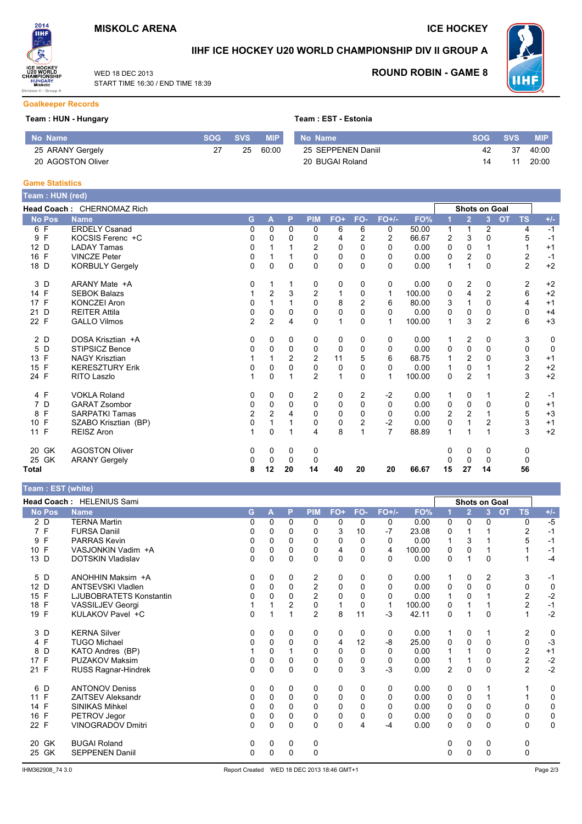START TIME 16:30 / END TIME 18:39

WED 18 DEC 2013



### IIHF ICE HOCKEY U20 WORLD CHAMPIONSHIP DIV II GROUP A



**ROUND ROBIN - GAME 8** 

#### **Goalkeeper Records**

#### Team: HUN - Hungary

| No Name           | SOG | <b>SVS</b> | <b>MIP</b> | No Name            | <b>SOG</b> | <b>SVS</b> | <b>MIP</b> |
|-------------------|-----|------------|------------|--------------------|------------|------------|------------|
| 25 ARANY Gergely  |     | 25         | 60:00      | 25 SEPPENEN Daniil | 42         | -37        | 40:00      |
| 20 AGOSTON Oliver |     |            |            | 20 BUGAI Roland    |            |            | 20:00      |

#### **Game Statistics**

| Team : HUN (red)                |                            |                |                |          |                |              |          |                |        |    |                         |                |           |                |             |
|---------------------------------|----------------------------|----------------|----------------|----------|----------------|--------------|----------|----------------|--------|----|-------------------------|----------------|-----------|----------------|-------------|
|                                 | Head Coach: CHERNOMAZ Rich |                |                |          |                |              |          |                |        |    | Shots on Goal           |                |           |                |             |
| <b>No Pos</b>                   | <b>Name</b>                | G              | A              | P        | <b>PIM</b>     | FO+          | FO-      | $FO+/-$        | FO%    |    | $\overline{2}$          | 3              | <b>OT</b> | <b>TS</b>      | $+/-$       |
| 6 F                             | <b>ERDELY Csanad</b>       | 0              | 0              | 0        | 0              | 6            | 6        | 0              | 50.00  | 1  | 1                       | 2              |           | 4              | $-1$        |
| F<br>9                          | KOCSIS Ferenc +C           | 0              | 0              | 0        | 0              | 4            | 2        | $\overline{2}$ | 66.67  | 2  | 3                       | 0              |           | 5              | $-1$        |
| 12 D                            | <b>LADAY Tamas</b>         | 0              |                |          | $\overline{c}$ | $\Omega$     | 0        | $\Omega$       | 0.00   | 0  | $\Omega$                |                |           |                | $+1$        |
| $\mathsf{F}$<br>16              | <b>VINCZE Peter</b>        | 0              |                |          | 0              | 0            | 0        | $\Omega$       | 0.00   | 0  | 2                       | 0              |           | 2              | $-1$        |
| 18 D                            | <b>KORBULY Gergely</b>     | $\Omega$       | $\Omega$       | $\Omega$ | $\Omega$       | $\mathbf 0$  | $\Omega$ | $\Omega$       | 0.00   | 1  | 1                       | $\Omega$       |           | $\overline{2}$ | $+2$        |
| D<br>3                          | ARANY Mate +A              | 0              | 1              |          | 0              | 0            | 0        | 0              | 0.00   | 0  | $\overline{\mathbf{c}}$ | 0              |           | 2              | $+2$        |
| 14 F                            | <b>SEBOK Balazs</b>        |                | $\overline{2}$ | 3        | $\overline{2}$ | 1            | 0        | 1              | 100.00 | 0  | 4                       | $\overline{2}$ |           | 6              | $+2$        |
| 17 F                            | <b>KONCZEI Aron</b>        | 0              |                |          | 0              | 8            | 2        | 6              | 80.00  | 3  |                         | 0              |           | 4              | $+1$        |
| D<br>21                         | <b>REITER Attila</b>       | 0              | $\Omega$       | $\Omega$ | 0              | $\mathbf 0$  | $\Omega$ | $\Omega$       | 0.00   | 0  | $\Omega$                | $\Omega$       |           | 0              | $+4$        |
| 22 F                            | <b>GALLO Vilmos</b>        | $\overline{2}$ | $\overline{2}$ | 4        | 0              | $\mathbf{1}$ | 0        | $\mathbf 1$    | 100.00 | 1  | 3                       | $\overline{2}$ |           | 6              | $+3$        |
| 2 D                             | DOSA Krisztian +A          | 0              | 0              | 0        | 0              | 0            | 0        | 0              | 0.00   | 1  | $\overline{\mathbf{c}}$ | 0              |           | 3              | 0           |
| D<br>5                          | STIPSICZ Bence             | 0              | 0              | 0        | 0              | 0            | 0        | $\Omega$       | 0.00   | 0  | 0                       | $\Omega$       |           | 0              | $\mathbf 0$ |
| F<br>13                         | <b>NAGY Krisztian</b>      |                |                | 2        | $\overline{2}$ | 11           | 5        | 6              | 68.75  |    | $\overline{2}$          | 0              |           | 3              | $+1$        |
| F<br>15                         | <b>KERESZTURY Erik</b>     | 0              | 0              | 0        | 0              | 0            | 0        | $\Omega$       | 0.00   | 1  | 0                       |                |           | $\overline{c}$ | $+2$        |
| 24 F                            | <b>RITO Laszlo</b>         |                | $\Omega$       |          | $\overline{2}$ | 1            | 0        | $\mathbf 1$    | 100.00 | 0  | $\overline{2}$          |                |           | 3              | $+2$        |
| 4 F                             | <b>VOKLA Roland</b>        | 0              | 0              | 0        | 2              | 0            | 2        | $-2$           | 0.00   | 1  | 0                       |                |           | 2              | $-1$        |
| D<br>7                          | <b>GARAT Zsombor</b>       | 0              | 0              | 0        | 0              | 0            | 0        | $\Omega$       | 0.00   | 0  | 0                       | 0              |           | 0              | $+1$        |
| F<br>8                          | <b>SARPATKI Tamas</b>      | $\overline{c}$ | $\overline{2}$ |          | 0              | 0            | 0        | 0              | 0.00   | 2  | $\overline{2}$          |                |           | 5              | $+3$        |
| $\mathsf{F}$<br>10 <sup>°</sup> | SZABO Krisztian (BP)       | 0              |                |          | 0              | 0            | 2        | $-2$           | 0.00   | 0  |                         | 2              |           | 3              | $+1$        |
| $\mathsf{F}$<br>11              | <b>REISZ Aron</b>          |                | 0              |          | 4              | 8            |          | $\overline{7}$ | 88.89  | 1  |                         | 1              |           | 3              | $+2$        |
| GK<br>20                        | <b>AGOSTON Oliver</b>      | 0              | 0              | 0        | 0              |              |          |                |        | 0  | 0                       | 0              |           | 0              |             |
| 25 GK                           | <b>ARANY Gergely</b>       | 0              | 0              | 0        | 0              |              |          |                |        |    | 0                       | 0              |           | $\Omega$       |             |
| Total                           |                            | 8              | 12             | 20       | 14             | 40           | 20       | 20             | 66.67  | 15 | 27                      | 14             |           | 56             |             |

#### $\cdot$  FST (white)

| $1$ can $.$ LOT (wille) |                           |   |          |             |                |             |          |          |        |                |                |                             |                         |              |
|-------------------------|---------------------------|---|----------|-------------|----------------|-------------|----------|----------|--------|----------------|----------------|-----------------------------|-------------------------|--------------|
|                         | Head Coach: HELENIUS Sami |   |          |             |                |             |          |          |        |                |                | Shots on Goal               |                         |              |
| <b>No Pos</b>           | <b>Name</b>               | G | A        | P           | <b>PIM</b>     | FO+         | FO-      | $FO+/-$  | FO%    |                | $\overline{2}$ | $\overline{3}$<br><b>OT</b> | <b>TS</b>               | $+/-$        |
| 2 D                     | <b>TERNA Martin</b>       | 0 | 0        | 0           | 0              | 0           | 0        | 0        | 0.00   | 0              | 0              | 0                           | 0                       | $-5$         |
| 7 F                     | <b>FURSA Daniil</b>       | 0 | 0        | 0           | 0              | 3           | 10       | $-7$     | 23.08  | 0              |                |                             | $\overline{2}$          | $-1$         |
| F<br>9                  | <b>PARRAS Kevin</b>       | 0 | 0        | $\Omega$    | 0              | 0           | 0        | 0        | 0.00   |                | 3              |                             | 5                       | $-1$         |
| 10 F                    | VASJONKIN Vadim +A        | 0 | 0        | 0           | 0              | 4           | 0        | 4        | 100.00 | 0              | 0              |                             |                         | $-1$         |
| 13 D                    | <b>DOTSKIN Vladislav</b>  | 0 | 0        | $\Omega$    | $\Omega$       | 0           | $\Omega$ | $\Omega$ | 0.00   | $\Omega$       | 1              | $\Omega$                    |                         | $-4$         |
| 5 D                     | ANOHHIN Maksim +A         | 0 | 0        | 0           | 2              | 0           | 0        | 0        | 0.00   |                | 0              | $\overline{2}$              | 3                       | $-1$         |
| D<br>12 <sup>2</sup>    | <b>ANTSEVSKI Vladlen</b>  | 0 | 0        | $\mathbf 0$ | $\overline{c}$ | 0           | 0        | 0        | 0.00   | 0              | $\mathbf 0$    | 0                           | 0                       | $\mathbf 0$  |
| 15 F                    | LJUBOBRATETS Konstantin   | 0 | 0        | $\Omega$    | 2              | 0           | $\Omega$ | 0        | 0.00   |                | $\Omega$       |                             | 2                       | $-2$         |
| F<br>18                 | <b>VASSILJEV Georgi</b>   |   |          | 2           | $\mathbf 0$    | 1           | 0        | 1        | 100.00 | 0              |                |                             | $\overline{2}$          | $-1$         |
| 19 F                    | KULAKOV Pavel +C          | 0 |          | 1           | $\overline{2}$ | 8           | 11       | $-3$     | 42.11  | 0              |                | $\Omega$                    | 1                       | $-2$         |
| 3 D                     | <b>KERNA Silver</b>       | 0 | 0        | 0           | 0              | 0           | 0        | 0        | 0.00   |                | 0              |                             | 2                       | 0            |
| 4 F                     | <b>TUGO Michael</b>       | 0 | 0        | $\Omega$    | 0              | 4           | 12       | -8       | 25.00  | 0              | 0              | 0                           | 0                       | $-3$         |
| D<br>8                  | KATO Andres (BP)          |   | $\Omega$ |             | 0              | $\mathbf 0$ | 0        | 0        | 0.00   |                |                | 0                           | $\overline{c}$          | $+1$         |
| F<br>17                 | <b>PUZAKOV Maksim</b>     | 0 | 0        | 0           | 0              | 0           | 0        | 0        | 0.00   |                |                | 0                           | $\overline{\mathbf{c}}$ | $-2$<br>$-2$ |
| 21 F                    | RUSS Ragnar-Hindrek       | 0 | 0        | $\mathbf 0$ | 0              | $\mathbf 0$ | 3        | $-3$     | 0.00   | $\overline{c}$ | 0              | 0                           | $\overline{2}$          |              |
| 6 D                     | <b>ANTONOV Deniss</b>     | 0 | 0        | 0           | 0              | 0           | 0        | 0        | 0.00   | 0              | 0              |                             |                         | 0            |
| 11 F                    | <b>ZAITSEV Aleksandr</b>  | 0 | 0        | $\Omega$    | 0              | 0           | 0        | 0        | 0.00   | 0              | 0              |                             |                         | $\mathbf 0$  |
| F<br>14                 | <b>SINIKAS Mihkel</b>     | 0 | 0        | $\Omega$    | 0              | 0           | 0        | 0        | 0.00   | 0              | $\Omega$       | 0                           | 0                       | $\mathbf 0$  |
| 16 F                    | PETROV Jegor              | 0 | 0        | $\Omega$    | 0              | 0           | 0        | 0        | 0.00   | 0              | 0              | 0                           | 0                       | $\pmb{0}$    |
| 22 F                    | <b>VINOGRADOV Dmitri</b>  | 0 | 0        | $\Omega$    | 0              | 0           | 4        | -4       | 0.00   | 0              | $\Omega$       | 0                           | 0                       | 0            |
| GK<br>20                | <b>BUGAI Roland</b>       | 0 | 0        | 0           | 0              |             |          |          |        | 0              | 0              | 0                           | 0                       |              |
| 25 GK                   | <b>SEPPENEN Daniil</b>    | 0 | 0        | $\mathbf 0$ | 0              |             |          |          |        | $\Omega$       | $\Omega$       | 0                           | $\Omega$                |              |
|                         |                           |   |          |             |                |             |          |          |        |                |                |                             |                         |              |